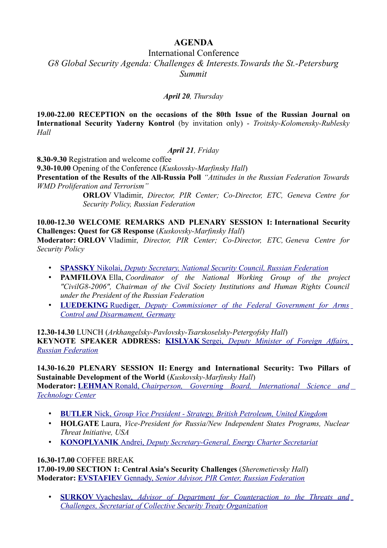# **AGENDA**

## International Conference

*G8 Global Security Agenda: Challenges & Interests.Towards the St.-Petersburg Summit*

### *April 20, Thursday*

**19.00-22.00 RECEPTION on the occasions of the 80th Issue of the Russian Journal on International Security Yaderny Kontrol** (by invitation only) - *Troitsky-Kolomensky-Rublesky Hall*

#### *April 21, Friday*

**8.30-9.30** Registration and welcome coffee

**9.30-10.00** Opening of the Conference (*Kuskovsky-Marfinsky Hall*)

**Presentation of the Results of the All-Russia Poll** *"Attitudes in the Russian Federation Towards WMD Proliferation and Terrorism"*

> **ORLOV** Vladimir, *Director, PIR Center; Co-Director, ETC, Geneva Centre for Security Policy, Russian Federation*

**10.00-12.30 WELCOME REMARKS AND PLENARY SESSION I: International Security Challenges: Quest for G8 Response** (*Kuskovsky-Marfinsky Hall*)

**Moderator: ORLOV** Vladimir, *Director, PIR Center; Co-Director, ETC, Geneva Centre for Security Policy*

- **[SPASSKY](http://pircenter.org/en/articles/919-nikolay-spasskys-speech-at-international-conference-on-g8-global-security-agenda-challenges-interests-towards-the-stpetersburg-summit)** [Nikolai,](http://pircenter.org/en/articles/919-nikolay-spasskys-speech-at-international-conference-on-g8-global-security-agenda-challenges-interests-towards-the-stpetersburg-summit) *[Deputy Secretary, National Security Council, Russian Federation](http://pircenter.org/en/articles/919-nikolay-spasskys-speech-at-international-conference-on-g8-global-security-agenda-challenges-interests-towards-the-stpetersburg-summit)*
- **PAMFILOVA** Ella, *Coordinator of the National Working Group of the project "CivilG8-2006", Chairman of the Civil Society Institutions and Human Rights Council under the President of the Russian Federation*
- **[LUEDEKING](http://pircenter.org/en/articles/918-international-security-challenges-quest-for-g8-response)** [Ruediger,](http://pircenter.org/en/articles/918-international-security-challenges-quest-for-g8-response) *[Deputy Commissioner of the Federal Government for Arms](http://pircenter.org/en/articles/918-international-security-challenges-quest-for-g8-response) [Control and Disarmament, Germany](http://pircenter.org/en/articles/918-international-security-challenges-quest-for-g8-response)*

**12.30-14.30** LUNCH (*Arkhangelsky-Pavlovsky-Tsarskoselsky-Petergofsky Hall*) **KEYNOTE SPEAKER ADDRESS: [KISLYAK](http://pircenter.org/en/articles/920-sergei-kislyaks-speech-at-international-conference-on-g8-global-security-agenda-challenges-interests-towards-the-stpetersburg-summit)** [Sergei,](http://pircenter.org/en/articles/920-sergei-kislyaks-speech-at-international-conference-on-g8-global-security-agenda-challenges-interests-towards-the-stpetersburg-summit) *[Deputy Minister of Foreign Affairs,](http://pircenter.org/en/articles/920-sergei-kislyaks-speech-at-international-conference-on-g8-global-security-agenda-challenges-interests-towards-the-stpetersburg-summit) [Russian Federation](http://pircenter.org/en/articles/920-sergei-kislyaks-speech-at-international-conference-on-g8-global-security-agenda-challenges-interests-towards-the-stpetersburg-summit)*

**14.30-16.20 PLENARY SESSION II: Energy and International Security: Two Pillars of Sustainable Development of the World** (*Kuskovsky-Marfinsky Hall*) **Moderator: [LEHMAN](http://pircenter.org/en/articles/923-ronald-lehmans-speech-at-international-conference-on-g8-global-security-agenda-challenges-interests-towards-the-stpetersburg-summit)** [Ronald,](http://pircenter.org/en/articles/923-ronald-lehmans-speech-at-international-conference-on-g8-global-security-agenda-challenges-interests-towards-the-stpetersburg-summit) *[Chairperson, Governing Board, International Science and](http://pircenter.org/en/articles/923-ronald-lehmans-speech-at-international-conference-on-g8-global-security-agenda-challenges-interests-towards-the-stpetersburg-summit) [Technology Center](http://pircenter.org/en/articles/923-ronald-lehmans-speech-at-international-conference-on-g8-global-security-agenda-challenges-interests-towards-the-stpetersburg-summit)*

- **[BUTLER](http://pircenter.org/en/articles/921-nick-butlers-speech-at-international-conference-on-g8-global-security-agenda-challenges-interests-towards-the-stpetersburg-summit)** [Nick,](http://pircenter.org/en/articles/921-nick-butlers-speech-at-international-conference-on-g8-global-security-agenda-challenges-interests-towards-the-stpetersburg-summit) *[Group Vice President Strategy,](http://pircenter.org/en/articles/921-nick-butlers-speech-at-international-conference-on-g8-global-security-agenda-challenges-interests-towards-the-stpetersburg-summit) British Petroleum, United Kingdom*
- **HOLGATE** Laura, *Vice-President for Russia/New Independent States Programs, Nuclear Threat Initiative, USA*
- **[KONOPLYANIK](http://pircenter.org/en/articles/922-andrei-konoplyanik-speech-at-international-conference-on-g8-global-security-agenda-challenges-interests-towards-the-stpetersburg-summit)** [Andrei,](http://pircenter.org/en/articles/922-andrei-konoplyanik-speech-at-international-conference-on-g8-global-security-agenda-challenges-interests-towards-the-stpetersburg-summit) *[Deputy Secretary-General, Energy Charter Secretariat](http://pircenter.org/en/articles/922-andrei-konoplyanik-speech-at-international-conference-on-g8-global-security-agenda-challenges-interests-towards-the-stpetersburg-summit)*

#### **16.30-17.00** COFFEE BREAK

**17.00-19.00 SECTION 1: Central Asia's Security Challenges** (*Sheremetievsky Hall*) **Moderator: [EVSTAFIEV](http://pircenter.org/en/articles/925-gennady-evstafievs-speech-at-international-conference-on-g8-global-security-agenda-challenges-interests-towards-the-stpetersburg-summit)** [Gennady,](http://pircenter.org/en/articles/925-gennady-evstafievs-speech-at-international-conference-on-g8-global-security-agenda-challenges-interests-towards-the-stpetersburg-summit) *[Senior Advisor, PIR Center, Russian Federation](http://pircenter.org/en/articles/925-gennady-evstafievs-speech-at-international-conference-on-g8-global-security-agenda-challenges-interests-towards-the-stpetersburg-summit)*

• **[SURKOV](http://pircenter.org/en/articles/926-vyacheslav-surkovs-speech-at-international-conference-on-g8-global-security-agenda-challenges-interests-towards-the-stpetersburg-summit)** [Vyacheslav,](http://pircenter.org/en/articles/926-vyacheslav-surkovs-speech-at-international-conference-on-g8-global-security-agenda-challenges-interests-towards-the-stpetersburg-summit) *[Advisor of Department for Counteraction to the Threats and](http://pircenter.org/en/articles/926-vyacheslav-surkovs-speech-at-international-conference-on-g8-global-security-agenda-challenges-interests-towards-the-stpetersburg-summit) [Challenges, Secretariat of Collective Security Treaty Organization](http://pircenter.org/en/articles/926-vyacheslav-surkovs-speech-at-international-conference-on-g8-global-security-agenda-challenges-interests-towards-the-stpetersburg-summit)*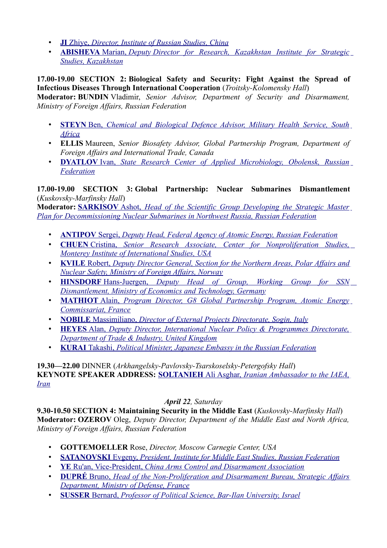- **[JI](http://pircenter.org/en/articles/927-zhiye-jis-speech-at-international-conference-on-g8-global-security-agenda-challenges-interests-towards-the-stpetersburg-summit)** [Zhiye,](http://pircenter.org/en/articles/927-zhiye-jis-speech-at-international-conference-on-g8-global-security-agenda-challenges-interests-towards-the-stpetersburg-summit) *[Director, Institute of Russian Studies, China](http://pircenter.org/en/articles/927-zhiye-jis-speech-at-international-conference-on-g8-global-security-agenda-challenges-interests-towards-the-stpetersburg-summit)*
- **[ABISHEVA](http://pircenter.org/en/articles/924-abisheva-marians-speech-at-international-conference-on-g8-global-security-agenda-challenges-interests-towards-the-stpetersburg-summit)** [Marian,](http://pircenter.org/en/articles/924-abisheva-marians-speech-at-international-conference-on-g8-global-security-agenda-challenges-interests-towards-the-stpetersburg-summit) *Deputy [Director for Research, Kazakhstan Institute for Strategic](http://pircenter.org/en/articles/924-abisheva-marians-speech-at-international-conference-on-g8-global-security-agenda-challenges-interests-towards-the-stpetersburg-summit) [Studies, Kazakhstan](http://pircenter.org/en/articles/924-abisheva-marians-speech-at-international-conference-on-g8-global-security-agenda-challenges-interests-towards-the-stpetersburg-summit)*

#### **17.00-19.00 SECTION 2: Biological Safety and Security: Fight Against the Spread of Infectious Diseases Through International Cooperation** (*Troitsky-Kolomensky Hall*)

**Moderator: BUNDIN** Vladimir, *Senior Advisor, Department of Security and Disarmament, Ministry of Foreign Affairs, Russian Federation*

- **[STEYN](http://pircenter.org/en/articles/929-ben-steyns-speech-at-international-conference-on-g8-global-security-agenda-challenges-interests-towards-the-stpetersburg-summit)** [Ben,](http://pircenter.org/en/articles/929-ben-steyns-speech-at-international-conference-on-g8-global-security-agenda-challenges-interests-towards-the-stpetersburg-summit) *[Chemical and Biological Defence Advisor, Military Health Service, South](http://pircenter.org/en/articles/929-ben-steyns-speech-at-international-conference-on-g8-global-security-agenda-challenges-interests-towards-the-stpetersburg-summit) [Africa](http://pircenter.org/en/articles/929-ben-steyns-speech-at-international-conference-on-g8-global-security-agenda-challenges-interests-towards-the-stpetersburg-summit)*
- **ELLIS** Maureen, *Senior Biosafety Advisor, Global Partnership Program, Department of Foreign Affairs and International Trade, Canada*
- **[DYATLOV](http://pircenter.org/en/articles/928-ivan-dyatlovs-speech-at-international-conference-on-g8-global-security-agenda-challenges-interests-towards-the-stpetersburg-summit)** [Ivan,](http://pircenter.org/en/articles/928-ivan-dyatlovs-speech-at-international-conference-on-g8-global-security-agenda-challenges-interests-towards-the-stpetersburg-summit) *[State Research Center of Applied Microbiology, Obolensk, Russian](http://pircenter.org/en/articles/928-ivan-dyatlovs-speech-at-international-conference-on-g8-global-security-agenda-challenges-interests-towards-the-stpetersburg-summit) [Federation](http://pircenter.org/en/articles/928-ivan-dyatlovs-speech-at-international-conference-on-g8-global-security-agenda-challenges-interests-towards-the-stpetersburg-summit)*

#### **17.00-19.00 SECTION 3: Global Partnership: Nuclear Submarines Dismantlement** (*Kuskovsky-Marfinsky Hall*)

**Moderator: [SARKISOV](http://pircenter.org/en/articles/935-ashot-sarkisovs-speech-at-international-conference-on-g8-global-security-agenda-challenges-interests-towards-the-stpetersburg-summit)** [Ashot,](http://pircenter.org/en/articles/935-ashot-sarkisovs-speech-at-international-conference-on-g8-global-security-agenda-challenges-interests-towards-the-stpetersburg-summit) *[Head of the Scientific Group Developing the Strategic Master](http://pircenter.org/en/articles/935-ashot-sarkisovs-speech-at-international-conference-on-g8-global-security-agenda-challenges-interests-towards-the-stpetersburg-summit) [Plan for Decommissioning Nuclear Submarines in Northwest Russia, Russian Federation](http://pircenter.org/en/articles/935-ashot-sarkisovs-speech-at-international-conference-on-g8-global-security-agenda-challenges-interests-towards-the-stpetersburg-summit)*

- **[ANTIPOV](http://pircenter.org/en/articles/930-sergei-antipovs-speech-at-international-conference-on-g8-global-security-agenda-challenges-interests-towards-the-stpetersburg-summit)** [Sergei,](http://pircenter.org/en/articles/930-sergei-antipovs-speech-at-international-conference-on-g8-global-security-agenda-challenges-interests-towards-the-stpetersburg-summit) *[Deputy Head, Federal Agency of Atomic Energy, Russian Federation](http://pircenter.org/en/articles/930-sergei-antipovs-speech-at-international-conference-on-g8-global-security-agenda-challenges-interests-towards-the-stpetersburg-summit)*
- **[CHUEN](http://pircenter.org/en/articles/938-christina-chuens-speeh-at-international-conference-on-g8-global-security-agenda-challenges-interests-towards-the-stpetersburg-summit)** [Cristina,](http://pircenter.org/en/articles/938-christina-chuens-speeh-at-international-conference-on-g8-global-security-agenda-challenges-interests-towards-the-stpetersburg-summit) *[Senior Research Associate, Center for Nonproliferation Studies,](http://pircenter.org/en/articles/938-christina-chuens-speeh-at-international-conference-on-g8-global-security-agenda-challenges-interests-towards-the-stpetersburg-summit) [Monterey Institute of International Studies, USA](http://pircenter.org/en/articles/938-christina-chuens-speeh-at-international-conference-on-g8-global-security-agenda-challenges-interests-towards-the-stpetersburg-summit)*
- **[KVILE](http://pircenter.org/en/articles/931-robert-kviles-speech-at-international-conference-on-g8-global-security-agenda-challenges-interests-towards-the-stpetersburg-summit)** [Robert,](http://pircenter.org/en/articles/931-robert-kviles-speech-at-international-conference-on-g8-global-security-agenda-challenges-interests-towards-the-stpetersburg-summit) *[Deputy Director General, Section for the Northern Areas, Polar Affairs and](http://pircenter.org/en/articles/931-robert-kviles-speech-at-international-conference-on-g8-global-security-agenda-challenges-interests-towards-the-stpetersburg-summit) [Nuclear Safety, Ministry of Foreign Affairs, Norway](http://pircenter.org/en/articles/931-robert-kviles-speech-at-international-conference-on-g8-global-security-agenda-challenges-interests-towards-the-stpetersburg-summit)*
- **[HINSDORF](http://pircenter.org/en/articles/937-hansjuergen-hinsdorfs-speech-at-international-conference-on-g8-global-security-agenda-challenges-interests-towards-the-stpetersburg-summit)** [Hans-Juergen,](http://pircenter.org/en/articles/937-hansjuergen-hinsdorfs-speech-at-international-conference-on-g8-global-security-agenda-challenges-interests-towards-the-stpetersburg-summit) *[Deputy Head of Group, Working Group for SSN](http://pircenter.org/en/articles/937-hansjuergen-hinsdorfs-speech-at-international-conference-on-g8-global-security-agenda-challenges-interests-towards-the-stpetersburg-summit) [Dismantlement, Ministry of Economics and Technology, Germany](http://pircenter.org/en/articles/937-hansjuergen-hinsdorfs-speech-at-international-conference-on-g8-global-security-agenda-challenges-interests-towards-the-stpetersburg-summit)*
- **[MATHIOT](http://pircenter.org/en/articles/933-alain-mathiots-speech-at-international-conference-on-g8-global-security-agenda-challenges-interests-towards-the-stpetersburg-summit)** [Alain,](http://pircenter.org/en/articles/933-alain-mathiots-speech-at-international-conference-on-g8-global-security-agenda-challenges-interests-towards-the-stpetersburg-summit) *[Program Director, G8 Global Partnership Program, Atomic Energy](http://pircenter.org/en/articles/933-alain-mathiots-speech-at-international-conference-on-g8-global-security-agenda-challenges-interests-towards-the-stpetersburg-summit) [Commissariat, France](http://pircenter.org/en/articles/933-alain-mathiots-speech-at-international-conference-on-g8-global-security-agenda-challenges-interests-towards-the-stpetersburg-summit)*
- **[NOBILE](http://pircenter.org/en/articles/934-massimiliano-nobiles-speech-at-international-conference-on-g8-global-security-agenda-challenges-interests-towards-the-stpetersburg-summit)** [Massimiliano,](http://pircenter.org/en/articles/934-massimiliano-nobiles-speech-at-international-conference-on-g8-global-security-agenda-challenges-interests-towards-the-stpetersburg-summit) *[Director of External Projects Directorate,](http://pircenter.org/en/articles/934-massimiliano-nobiles-speech-at-international-conference-on-g8-global-security-agenda-challenges-interests-towards-the-stpetersburg-summit) Sogin, Italy*
- **[HEYES](http://pircenter.org/en/articles/936-alan-heyess-speech-at-international-conference-on-g8-global-security-agenda-challenges-interests-towards-the-stpetersburg-summit)** [Alan,](http://pircenter.org/en/articles/936-alan-heyess-speech-at-international-conference-on-g8-global-security-agenda-challenges-interests-towards-the-stpetersburg-summit) *[Deputy Director, International Nuclear Policy & Programmes Directorate,](http://pircenter.org/en/articles/936-alan-heyess-speech-at-international-conference-on-g8-global-security-agenda-challenges-interests-towards-the-stpetersburg-summit) [Department of Trade & Industry, United Kingdom](http://pircenter.org/en/articles/936-alan-heyess-speech-at-international-conference-on-g8-global-security-agenda-challenges-interests-towards-the-stpetersburg-summit)*
- **[KURAI](http://pircenter.org/en/articles/932-kurai-takashis-speech-at-international-conference-on-g8-global-security-agenda-challenges-interests-towards-the-stpetersburg-summit)** [Takashi,](http://pircenter.org/en/articles/932-kurai-takashis-speech-at-international-conference-on-g8-global-security-agenda-challenges-interests-towards-the-stpetersburg-summit) *[Political Minister, Japanese Embassy in the Russian Federation](http://pircenter.org/en/articles/932-kurai-takashis-speech-at-international-conference-on-g8-global-security-agenda-challenges-interests-towards-the-stpetersburg-summit)*

**19.30—22.00** DINNER (*Arkhangelsky-Pavlovsky-Tsarskoselsky-Petergofsky Hall*) **KEYNOTE SPEAKER ADDRESS: [SOLTANIEH](http://pircenter.org/en/articles/939-ali-asgar-soltaniehs-speech-at-international-conference-on-g8-global-security-agenda-challenges-interests-towards-the-stpetersburg-summit)** [Ali Asghar,](http://pircenter.org/en/articles/939-ali-asgar-soltaniehs-speech-at-international-conference-on-g8-global-security-agenda-challenges-interests-towards-the-stpetersburg-summit) *[Iranian Ambassador to the IAEA,](http://pircenter.org/en/articles/939-ali-asgar-soltaniehs-speech-at-international-conference-on-g8-global-security-agenda-challenges-interests-towards-the-stpetersburg-summit) [Iran](http://pircenter.org/en/articles/939-ali-asgar-soltaniehs-speech-at-international-conference-on-g8-global-security-agenda-challenges-interests-towards-the-stpetersburg-summit)*

### *April 22, Saturday*

**9.30-10.50 SECTION 4: Maintaining Security in the Middle East** (*Kuskovsky-Marfinsky Hall*) **Moderator: OZEROV** Oleg, *Deputy Director, Department of the Middle East and North Africa, Ministry of Foreign Affairs, Russian Federation*

- **GOTTEMOELLER** Rose, *Director, Moscow Carnegie Center, USA*
- **[SATANOVSKI](http://pircenter.org/en/articles/943-evgeny-satanovskis-speech-at-international-conference-on-g8-global-security-agenda-challenges-interests-towards-the-stpetersburg-summit)** [Evgeny,](http://pircenter.org/en/articles/943-evgeny-satanovskis-speech-at-international-conference-on-g8-global-security-agenda-challenges-interests-towards-the-stpetersburg-summit) *[President, Institute for Middle East Studies, Russian Federation](http://pircenter.org/en/articles/943-evgeny-satanovskis-speech-at-international-conference-on-g8-global-security-agenda-challenges-interests-towards-the-stpetersburg-summit)*
- **[YE](http://pircenter.org/en/articles/941-ye-ruans-speech-at-international-conference-on-g8-global-security-agenda-challenges-interests-towards-the-stpetersburg-summit)** [Ru'an, Vice-President,](http://pircenter.org/en/articles/941-ye-ruans-speech-at-international-conference-on-g8-global-security-agenda-challenges-interests-towards-the-stpetersburg-summit) *[China Arms Control and Disarmament Association](http://pircenter.org/en/articles/941-ye-ruans-speech-at-international-conference-on-g8-global-security-agenda-challenges-interests-towards-the-stpetersburg-summit)*
- **[DUPRÉ](http://pircenter.org/en/articles/940-bruno-dupres-speech-at-international-conference-on-g8-global-security-agenda-challenges-interests-towards-the-stpetersburg-summit)** [Bruno,](http://pircenter.org/en/articles/940-bruno-dupres-speech-at-international-conference-on-g8-global-security-agenda-challenges-interests-towards-the-stpetersburg-summit) *[Head of the Non-Proliferation and Disarmament Bureau, Strategic Affairs](http://pircenter.org/en/articles/940-bruno-dupres-speech-at-international-conference-on-g8-global-security-agenda-challenges-interests-towards-the-stpetersburg-summit) [Department, Ministry of Defense, France](http://pircenter.org/en/articles/940-bruno-dupres-speech-at-international-conference-on-g8-global-security-agenda-challenges-interests-towards-the-stpetersburg-summit)*
- **[SUSSER](http://pircenter.org/en/articles/942-bernard-sussers-speech-at-international-conference-on-g8-global-security-agenda-challenges-interests-towards-the-stpetersburg-summit)** [Bernard,](http://pircenter.org/en/articles/942-bernard-sussers-speech-at-international-conference-on-g8-global-security-agenda-challenges-interests-towards-the-stpetersburg-summit) *[Professor of Political Science, Bar-Ilan University, Israel](http://pircenter.org/en/articles/942-bernard-sussers-speech-at-international-conference-on-g8-global-security-agenda-challenges-interests-towards-the-stpetersburg-summit)*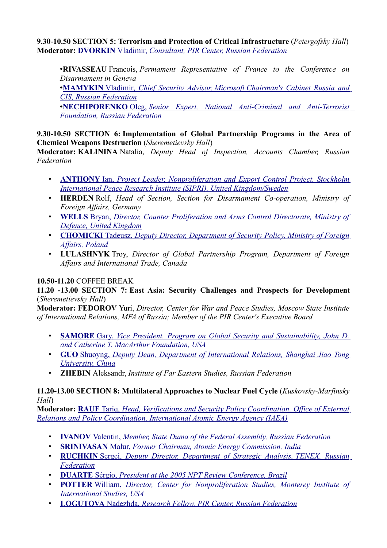**9.30-10.50 SECTION 5: Terrorism and Protection of Critical Infrastructure** (*Petergofsky Hall*) **Moderator: [DVORKIN](http://pircenter.org/en/articles/944-vladimir-dvorkins-speech-at-international-conference-on-g8-global-security-agenda-challenges-interests-towards-the-stpetersburg-summit)** [Vladimir,](http://pircenter.org/en/articles/944-vladimir-dvorkins-speech-at-international-conference-on-g8-global-security-agenda-challenges-interests-towards-the-stpetersburg-summit) *[Consultant, PIR Center, Russian Federation](http://pircenter.org/en/articles/944-vladimir-dvorkins-speech-at-international-conference-on-g8-global-security-agenda-challenges-interests-towards-the-stpetersburg-summit)*

•**RIVASSEAU** Francois, *Permament Representative of France to the Conference on Disarmament in Geneva*

• **[MAMYKIN](http://pircenter.org/en/articles/945-vladimir-mamykins-speech-at-international-conference-on-g8-global-security-agenda-challenges-interests-towards-the-stpetersburg-summit)** [Vladimir,](http://pircenter.org/en/articles/945-vladimir-mamykins-speech-at-international-conference-on-g8-global-security-agenda-challenges-interests-towards-the-stpetersburg-summit) *Chief Security Advisor, Microsoft [Chairman's Cabinet Russia and](http://pircenter.org/en/articles/945-vladimir-mamykins-speech-at-international-conference-on-g8-global-security-agenda-challenges-interests-towards-the-stpetersburg-summit) [CIS, Russian Federation](http://pircenter.org/en/articles/945-vladimir-mamykins-speech-at-international-conference-on-g8-global-security-agenda-challenges-interests-towards-the-stpetersburg-summit)*

• **[NECHIPORENKO](http://pircenter.org/en/articles/946-oleg-nechiporenkos-speech-at-international-conference-on-g8-global-security-agenda-challenges-interests-towards-the-stpetersburg-summit)** [Oleg,](http://pircenter.org/en/articles/946-oleg-nechiporenkos-speech-at-international-conference-on-g8-global-security-agenda-challenges-interests-towards-the-stpetersburg-summit) *[Senior Expert, National Anti-Criminal and Anti-Terrorist](http://pircenter.org/en/articles/946-oleg-nechiporenkos-speech-at-international-conference-on-g8-global-security-agenda-challenges-interests-towards-the-stpetersburg-summit) [Foundation, Russian Federation](http://pircenter.org/en/articles/946-oleg-nechiporenkos-speech-at-international-conference-on-g8-global-security-agenda-challenges-interests-towards-the-stpetersburg-summit)*

**9.30-10.50 SECTION 6: Implementation of Global Partnership Programs in the Area of Chemical Weapons Destruction** (*Sheremetievsky Hall*)

**Moderator: KALININA** Natalia, *Deputy Head of Inspection, Accounts Chamber, Russian Federation*

- **[ANTHONY](http://pircenter.org/en/articles/949-anthony-ians-speech-at-international-conference-on-g8-global-security-agenda-challenges-interests-towards-the-stpetersburg-summit)** [Ian,](http://pircenter.org/en/articles/949-anthony-ians-speech-at-international-conference-on-g8-global-security-agenda-challenges-interests-towards-the-stpetersburg-summit) *[Project Leader,](http://pircenter.org/en/articles/949-anthony-ians-speech-at-international-conference-on-g8-global-security-agenda-challenges-interests-towards-the-stpetersburg-summit) [Nonproliferation and Export Control Project, Stockholm](http://pircenter.org/en/articles/949-anthony-ians-speech-at-international-conference-on-g8-global-security-agenda-challenges-interests-towards-the-stpetersburg-summit) [International Peace Research Institute \(SIPRI\), United Kingdom/Sweden](http://pircenter.org/en/articles/949-anthony-ians-speech-at-international-conference-on-g8-global-security-agenda-challenges-interests-towards-the-stpetersburg-summit)*
- **HERDEN** Rolf, *Head of Section, Section for Disarmament Co-operation, Ministry of Foreign Affairs, Germany*
- **[WELLS](http://pircenter.org/en/articles/947-brian-wellss-speech-at-international-conference-on-g8-global-security-agenda-challenges-interests-towards-the-stpetersburg-summit)** [Bryan,](http://pircenter.org/en/articles/947-brian-wellss-speech-at-international-conference-on-g8-global-security-agenda-challenges-interests-towards-the-stpetersburg-summit) *[Director, Counter Proliferation and Arms Control Directorate, Ministry of](http://pircenter.org/en/articles/947-brian-wellss-speech-at-international-conference-on-g8-global-security-agenda-challenges-interests-towards-the-stpetersburg-summit) [Defence, United Kingdom](http://pircenter.org/en/articles/947-brian-wellss-speech-at-international-conference-on-g8-global-security-agenda-challenges-interests-towards-the-stpetersburg-summit)*
- **[CHOMICKI](http://pircenter.org/en/articles/948-tadeusz-chomickis-speech-at-international-conference-on-g8-global-security-agenda-challenges-interests-towards-the-stpetersburg-summit)** [Tadeusz,](http://pircenter.org/en/articles/948-tadeusz-chomickis-speech-at-international-conference-on-g8-global-security-agenda-challenges-interests-towards-the-stpetersburg-summit) *[Deputy Director, Department of Security Policy, Ministry of Foreign](http://pircenter.org/en/articles/948-tadeusz-chomickis-speech-at-international-conference-on-g8-global-security-agenda-challenges-interests-towards-the-stpetersburg-summit) [Affairs, Poland](http://pircenter.org/en/articles/948-tadeusz-chomickis-speech-at-international-conference-on-g8-global-security-agenda-challenges-interests-towards-the-stpetersburg-summit)*
- **LULASHNYK** Troy, *Director of Global Partnership Program, Department of Foreign Affairs and International Trade, Canada*

## **10.50-11.20** COFFEE BREAK

**11.20 -13.00 SECTION 7: East Asia: Security Challenges and Prospects for Development** (*Sheremetievsky Hall*)

**Moderator: FEDOROV** Yuri, *Director, Center for War and Peace Studies, Moscow State Institute of International Relations, MFA of Russia; Member of the PIR Center's Executive Board*

- **[SAMORE](http://pircenter.org/en/articles/951-gary-samores-speech-at-international-conference-on-g8-global-security-agenda-challenges-interests-towards-the-stpetersburg-summit)** [Gary,](http://pircenter.org/en/articles/951-gary-samores-speech-at-international-conference-on-g8-global-security-agenda-challenges-interests-towards-the-stpetersburg-summit) *[Vice President, Program on Global Security and Sustainability, John D.](http://pircenter.org/en/articles/951-gary-samores-speech-at-international-conference-on-g8-global-security-agenda-challenges-interests-towards-the-stpetersburg-summit) [and Catherine T. MacArthur Foundation, USA](http://pircenter.org/en/articles/951-gary-samores-speech-at-international-conference-on-g8-global-security-agenda-challenges-interests-towards-the-stpetersburg-summit)*
- **[GUO](http://pircenter.org/en/articles/950-guo-shuyongs-speech-at-international-conference-on-g8-global-security-agenda-challenges-interests-towards-the-stpetersburg-summit)** [Shuoyng,](http://pircenter.org/en/articles/950-guo-shuyongs-speech-at-international-conference-on-g8-global-security-agenda-challenges-interests-towards-the-stpetersburg-summit) *[Deputy Dean, Department of International Relations, Shanghai Jiao Tong](http://pircenter.org/en/articles/950-guo-shuyongs-speech-at-international-conference-on-g8-global-security-agenda-challenges-interests-towards-the-stpetersburg-summit) [University, China](http://pircenter.org/en/articles/950-guo-shuyongs-speech-at-international-conference-on-g8-global-security-agenda-challenges-interests-towards-the-stpetersburg-summit)*
- **ZHEBIN** Aleksandr, *Institute of Far Eastern Studies, Russian Federation*

#### **11.20-13.00 SECTION 8: Multilateral Approaches to Nuclear Fuel Cycle** (*Kuskovsky-Marfinsky Hall*)

**Moderator: [RAUF](http://pircenter.org/en/articles/956-tariq-raufs-speech-at-international-conference-on-g8-global-security-agenda-challenges-interests-towards-the-stpetersburg-summit)** [Tariq,](http://pircenter.org/en/articles/956-tariq-raufs-speech-at-international-conference-on-g8-global-security-agenda-challenges-interests-towards-the-stpetersburg-summit) *[Head, Verifications and Security Policy Coordination, Office of External](http://pircenter.org/en/articles/956-tariq-raufs-speech-at-international-conference-on-g8-global-security-agenda-challenges-interests-towards-the-stpetersburg-summit) [Relations and Policy Coordination, International Atomic Energy Agency \(IAEA\)](http://pircenter.org/en/articles/956-tariq-raufs-speech-at-international-conference-on-g8-global-security-agenda-challenges-interests-towards-the-stpetersburg-summit)*

- **[IVANOV](http://pircenter.org/en/articles/953-valentin-ivanovs-speech-at-international-conference-on-g8-global-security-agenda-challenges-interests-towards-the-stpetersburg-summit)** [Valentin,](http://pircenter.org/en/articles/953-valentin-ivanovs-speech-at-international-conference-on-g8-global-security-agenda-challenges-interests-towards-the-stpetersburg-summit) *[Member, State Duma of the Federal Assembly, Russian Federation](http://pircenter.org/en/articles/953-valentin-ivanovs-speech-at-international-conference-on-g8-global-security-agenda-challenges-interests-towards-the-stpetersburg-summit)*
- **[SRINIVASAN](http://pircenter.org/en/articles/958-malur-srinivasans-speech-at-international-conference-on-g8-global-security-agenda-challenges-interests-towards-the-stpetersburg-summit)** [Malur,](http://pircenter.org/en/articles/958-malur-srinivasans-speech-at-international-conference-on-g8-global-security-agenda-challenges-interests-towards-the-stpetersburg-summit) *[Former Chairman, Atomic Energy Commission, India](http://pircenter.org/en/articles/958-malur-srinivasans-speech-at-international-conference-on-g8-global-security-agenda-challenges-interests-towards-the-stpetersburg-summit)*
- **[RUCHKIN](http://pircenter.org/en/articles/957-sergey-ruchkins-speech-at-international-conference-on-g8-global-security-agenda-challenges-interests-towards-the-stpetersburg-summit)** [Sergei,](http://pircenter.org/en/articles/957-sergey-ruchkins-speech-at-international-conference-on-g8-global-security-agenda-challenges-interests-towards-the-stpetersburg-summit) *[Deputy Director, Department of Strategic Analysis,](http://pircenter.org/en/articles/957-sergey-ruchkins-speech-at-international-conference-on-g8-global-security-agenda-challenges-interests-towards-the-stpetersburg-summit) TENEX, Russian [Federation](http://pircenter.org/en/articles/957-sergey-ruchkins-speech-at-international-conference-on-g8-global-security-agenda-challenges-interests-towards-the-stpetersburg-summit)*
- **[DUARTE](http://pircenter.org/en/articles/952-sergio-duartes-speech-at-international-conference-on-g8-global-security-agenda-challenges-interests-towards-the-stpetersburg-summit)** [Sérgio,](http://pircenter.org/en/articles/952-sergio-duartes-speech-at-international-conference-on-g8-global-security-agenda-challenges-interests-towards-the-stpetersburg-summit) *[President at the 2005 NPT Review Conference, Brazil](http://pircenter.org/en/articles/952-sergio-duartes-speech-at-international-conference-on-g8-global-security-agenda-challenges-interests-towards-the-stpetersburg-summit)*
- **[POTTER](http://pircenter.org/en/articles/955-william-potters-speech-at-international-conference-on-g8-global-security-agenda-challenges-interests-towards-the-stpetersburg-summit)** [William,](http://pircenter.org/en/articles/955-william-potters-speech-at-international-conference-on-g8-global-security-agenda-challenges-interests-towards-the-stpetersburg-summit) *[Director, Center for Nonproliferation Studies, Monterey Institute of](http://pircenter.org/en/articles/955-william-potters-speech-at-international-conference-on-g8-global-security-agenda-challenges-interests-towards-the-stpetersburg-summit) [International Studies, USA](http://pircenter.org/en/articles/955-william-potters-speech-at-international-conference-on-g8-global-security-agenda-challenges-interests-towards-the-stpetersburg-summit)*
- **[LOGUTOVA](http://pircenter.org/en/articles/954-nadezhda-logutovas-speech-at-international-conference-on-g8-global-security-agenda-challenges-interests-towards-the-stpetersburg-summit)** [Nadezhda,](http://pircenter.org/en/articles/954-nadezhda-logutovas-speech-at-international-conference-on-g8-global-security-agenda-challenges-interests-towards-the-stpetersburg-summit) *[Research Fellow, PIR Center, Russian Federation](http://pircenter.org/en/articles/954-nadezhda-logutovas-speech-at-international-conference-on-g8-global-security-agenda-challenges-interests-towards-the-stpetersburg-summit)*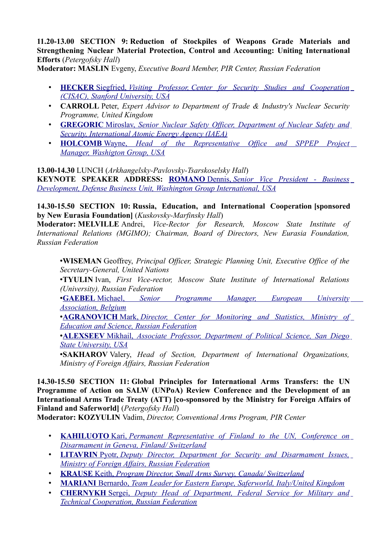**11.20-13.00 SECTION 9: Reduction of Stockpiles of Weapons Grade Materials and Strengthening Nuclear Material Protection, Control and Accounting: Uniting International Efforts** (*Petergofsky Hall*)

**Moderator: MASLIN** Evgeny, *Executive Board Member, PIR Center, Russian Federation*

- **[HECKER](http://pircenter.org/en/articles/960-siegfried-heckers-speech-at-international-conference-on-g8-global-security-agenda-challenges-interests-towards-the-stpetersburg-summit)** [Siegfried,](http://pircenter.org/en/articles/960-siegfried-heckers-speech-at-international-conference-on-g8-global-security-agenda-challenges-interests-towards-the-stpetersburg-summit) *Visiting Professor, [Center for Security Studies and Cooperation](http://pircenter.org/en/articles/960-siegfried-heckers-speech-at-international-conference-on-g8-global-security-agenda-challenges-interests-towards-the-stpetersburg-summit)  [\(CISAC\), Stanford University, USA](http://pircenter.org/en/articles/960-siegfried-heckers-speech-at-international-conference-on-g8-global-security-agenda-challenges-interests-towards-the-stpetersburg-summit)*
- **CARROLL** Peter, *Expert Advisor to Department of Trade & Industry's Nuclear Security Programme, United Kingdom*
- **[GREGORIC](http://pircenter.org/en/articles/959-miroslav-gregorics-speech-at-international-conference-on-g8-global-security-agenda-challenges-interests-towards-the-stpetersburg-summit)** [Miroslav,](http://pircenter.org/en/articles/959-miroslav-gregorics-speech-at-international-conference-on-g8-global-security-agenda-challenges-interests-towards-the-stpetersburg-summit) *[Senior Nuclear Safety Officer, Department of Nuclear Safety and](http://pircenter.org/en/articles/959-miroslav-gregorics-speech-at-international-conference-on-g8-global-security-agenda-challenges-interests-towards-the-stpetersburg-summit) [Security, International Atomic Energy Agency \(IAEA\)](http://pircenter.org/en/articles/959-miroslav-gregorics-speech-at-international-conference-on-g8-global-security-agenda-challenges-interests-towards-the-stpetersburg-summit)*
- **[HOLCOMB](http://pircenter.org/en/articles/961-wayne-holcombes-speech-at-international-conference-on-g8-global-security-agenda-challenges-interests-towards-the-stpetersburg-summit)** [Wayne,](http://pircenter.org/en/articles/961-wayne-holcombes-speech-at-international-conference-on-g8-global-security-agenda-challenges-interests-towards-the-stpetersburg-summit) *[Head of the Representative Office and SPPEP Project](http://pircenter.org/en/articles/961-wayne-holcombes-speech-at-international-conference-on-g8-global-security-agenda-challenges-interests-towards-the-stpetersburg-summit)  [Manager, Washigton Group, USA](http://pircenter.org/en/articles/961-wayne-holcombes-speech-at-international-conference-on-g8-global-security-agenda-challenges-interests-towards-the-stpetersburg-summit)*

**13.00-14.30** LUNCH (*Arkhangelsky-Pavlovsky-Tsarskoselsky Hall*) **KEYNOTE SPEAKER ADDRESS: [ROMANO](http://pircenter.org/en/articles/962-dennis-romanos-speech-at-international-conference-on-g8-global-security-agenda-challenges-interests-towards-the-stpetersburg-summit)** [Dennis,](http://pircenter.org/en/articles/962-dennis-romanos-speech-at-international-conference-on-g8-global-security-agenda-challenges-interests-towards-the-stpetersburg-summit) *[Senior Vice President - Business](http://pircenter.org/en/articles/962-dennis-romanos-speech-at-international-conference-on-g8-global-security-agenda-challenges-interests-towards-the-stpetersburg-summit)  [Development, Defense Business Unit, Washington Group International, USA](http://pircenter.org/en/articles/962-dennis-romanos-speech-at-international-conference-on-g8-global-security-agenda-challenges-interests-towards-the-stpetersburg-summit)*

**14.30-15.50 SECTION 10: Russia, Education, and International Cooperation [sponsored by New Eurasia Foundation]** (*Kuskovsky-Marfinsky Hall*)

**Moderator: MELVILLE** Andrei, *Vice-Rector for Research, Moscow State Institute of International Relations (MGIMO); Chairman, Board of Directors, New Eurasia Foundation, Russian Federation*

•**WISEMAN** Geoffrey, *Principal Officer, Strategic Planning Unit, Executive Office of the Secretary-General, United Nations*

•**TYULIN** Ivan, *First Vice-rector, Moscow State Institute of International Relations (University), Russian Federation*

• **[GAEBEL](http://pircenter.org/en/articles/965-michael-gaebels-speech-at-international-conference-on-g8-global-security-agenda-challenges-interests-towards-the-stpetersburg-summit)** [Michael,](http://pircenter.org/en/articles/965-michael-gaebels-speech-at-international-conference-on-g8-global-security-agenda-challenges-interests-towards-the-stpetersburg-summit) *[Senior Programme Manager, European University](http://pircenter.org/en/articles/965-michael-gaebels-speech-at-international-conference-on-g8-global-security-agenda-challenges-interests-towards-the-stpetersburg-summit)  [Association, Belgium](http://pircenter.org/en/articles/965-michael-gaebels-speech-at-international-conference-on-g8-global-security-agenda-challenges-interests-towards-the-stpetersburg-summit)*

• **[AGRANOVICH](http://pircenter.org/en/articles/963-mark-agranovichs-speech-at-international-conference-on-g8-global-security-agenda-challenges-interests-towards-the-stpetersburg-summit)** [Mark,](http://pircenter.org/en/articles/963-mark-agranovichs-speech-at-international-conference-on-g8-global-security-agenda-challenges-interests-towards-the-stpetersburg-summit) *[Director, Center for Monitoring and Statistics, Ministry of](http://pircenter.org/en/articles/963-mark-agranovichs-speech-at-international-conference-on-g8-global-security-agenda-challenges-interests-towards-the-stpetersburg-summit) [Education and Science, Russian Federation](http://pircenter.org/en/articles/963-mark-agranovichs-speech-at-international-conference-on-g8-global-security-agenda-challenges-interests-towards-the-stpetersburg-summit)*

• **[ALEXSEEV](http://pircenter.org/en/articles/964-mikhail-alexseevs-speech-at-international-conference-on-g8-global-security-agenda-challenges-interests-towards-the-stpetersburg-summit)** [Mikhail,](http://pircenter.org/en/articles/964-mikhail-alexseevs-speech-at-international-conference-on-g8-global-security-agenda-challenges-interests-towards-the-stpetersburg-summit) *[Associate Professor, Department of Political Science, San Diego](http://pircenter.org/en/articles/964-mikhail-alexseevs-speech-at-international-conference-on-g8-global-security-agenda-challenges-interests-towards-the-stpetersburg-summit) [State University, USA](http://pircenter.org/en/articles/964-mikhail-alexseevs-speech-at-international-conference-on-g8-global-security-agenda-challenges-interests-towards-the-stpetersburg-summit)*

•**SAKHAROV** Valery, *Head of Section, Department of International Organizations, Ministry of Foreign Affairs, Russian Federation*

**14.30-15.50 SECTION 11: Global Principles for International Arms Transfers: the UN Programme of Action on SALW (UNPoA) Review Conference and the Development of an International Arms Trade Treaty (ATT) [co-sponsored by the Ministry for Foreign Affairs of Finland and Saferworld]** (*Petergofsky Hall*)

**Moderator: KOZYULIN** Vadim, *Director, Conventional Arms Program, PIR Center*

- **KAHILUOTO** Kari, *[Permanent Representative of Finland to the UN, Conference on](http://pircenter.org/en/articles/966-kari-kahiloutos-speech-at-international-conference-on-g8-global-security-agenda-challenges-interests-towards-the-stpetersburg-summit) [Disarmament in Geneva, Finland/ Switzerland](http://pircenter.org/en/articles/966-kari-kahiloutos-speech-at-international-conference-on-g8-global-security-agenda-challenges-interests-towards-the-stpetersburg-summit)*
- **LITAVRIN** Pyotr, *Deputy Director, [Department for Security and Disarmament Issues,](http://pircenter.org/en/articles/968-peter-litavrins-speech-at-international-conference-on-g8-global-security-agenda-challenges-interests-towards-the-stpetersburg-summit) [Ministry of Foreign Affairs, Russian Federation](http://pircenter.org/en/articles/968-peter-litavrins-speech-at-international-conference-on-g8-global-security-agenda-challenges-interests-towards-the-stpetersburg-summit)*
- **KRAUSE** Keith, *Program Director, Small Arms Survey, [Canada/ Switzerland](http://pircenter.org/en/articles/967-keith-krauses-speech-at-international-conference-on-g8-global-security-agenda-challenges-interests-towards-the-stpetersburg-summit)*
- **MARIANI** Bernardo, *Team Leader for Eastern Europe, [Saferworld, Italy/United Kingdom](http://pircenter.org/en/articles/969-bernardo-marianis-speech-at-international-conference-on-g8-global-security-agenda-challenges-interests-towards-the-stpetersburg-summit)*
- **CHERNYKH** Sergei, *[Deputy Head of Department, Federal Service for Military and](http://pircenter.org/en/articles/970-sergei-chernykhs-speech-at) [Technical Cooperation, Russian Federation](http://pircenter.org/en/articles/970-sergei-chernykhs-speech-at)*